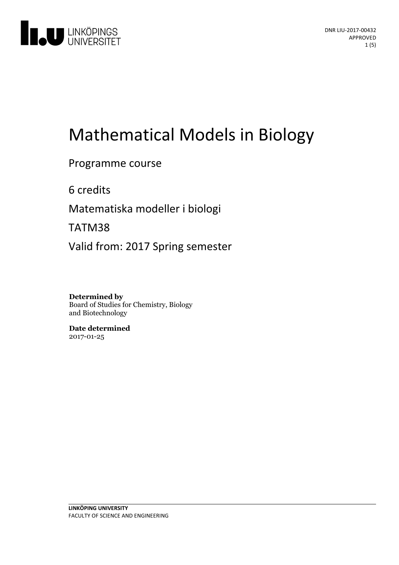

# Mathematical Models in Biology

#### Programme course

6 credits

Matematiska modeller i biologi

TATM38

Valid from: 2017 Spring semester

#### **Determined by**

Board of Studies for Chemistry, Biology and Biotechnology

**Date determined** 2017-01-25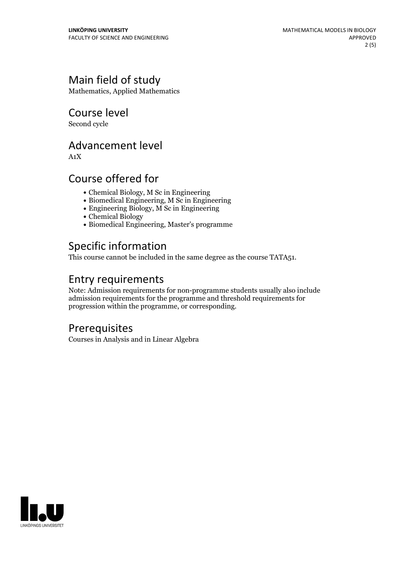## Main field of study

Mathematics, Applied Mathematics

Course level

Second cycle

### Advancement level

A1X

### Course offered for

- Chemical Biology, M Sc in Engineering
- Biomedical Engineering, M Sc in Engineering
- Engineering Biology, M Sc in Engineering
- Chemical Biology
- Biomedical Engineering, Master's programme

## Specific information

This course cannot be included in the same degree as the course TATA51.

## Entry requirements

Note: Admission requirements for non-programme students usually also include admission requirements for the programme and threshold requirements for progression within the programme, or corresponding.

#### **Prerequisites**

Courses in Analysis and in Linear Algebra

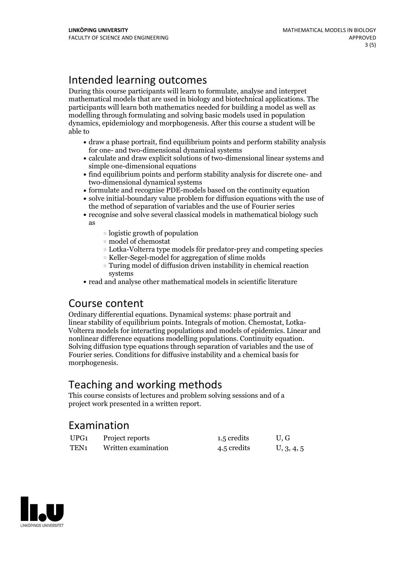## Intended learning outcomes

During this course participants will learn to formulate, analyse and interpret mathematical models that are used in biology and biotechnical applications. The participants will learn both mathematics needed for building a model as well as modelling through formulating and solving basic models used in population dynamics, epidemiology and morphogenesis. After this course a student will be able to

- draw a phase portrait, find equilibrium points and perform stability analysis for one- and two-dimensional dynamical systems
- calculate and draw explicit solutions of two-dimensional linear systems and simple one-dimensional equations
- find equilibrium points and perform stability analysis for discrete one- and two-dimensional dynamical systems
- formulate and recognise PDE-models based on the continuity equation
- solve initial-boundary value problem for diffusion equations with the use of the method of separation of variables and the use of Fourier series
- recognise and solve several classical models in mathematical biology such as
	- logistic growth of population
	- model of chemostat
	- Lotka-Volterra type models för predator-prey and competing species
	- Keller-Segel-model for aggregation of slime molds
	- Turing model of diffusion driven instability in chemical reaction systems
- read and analyse other mathematical models in scientific literature

#### Course content

Ordinary differential equations. Dynamical systems: phase portrait and Volterra models for interacting populations and models of epidemics. Linear and nonlinear difference equations modelling populations. Continuity equation. Solving diffusion type equations through separation of variables and the use of Fourier series. Conditions for diffusive instability and a chemical basis for morphogenesis.

## Teaching and working methods

This course consists of lectures and problem solving sessions and of a project work presented in a written report.

#### Examination

| UPG <sub>1</sub> | Project reports     | 1.5 credits | U.G        |
|------------------|---------------------|-------------|------------|
| TEN <sub>1</sub> | Written examination | 4.5 credits | U, 3, 4, 5 |

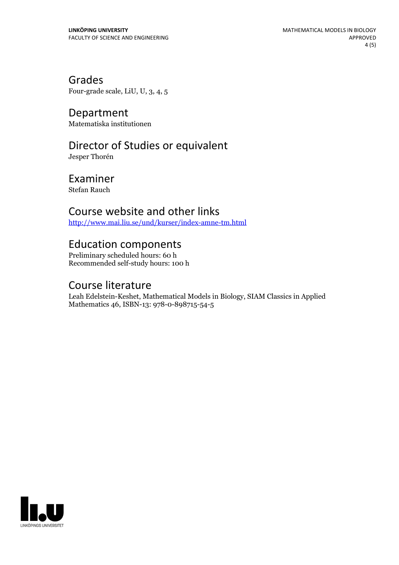Grades Four-grade scale, LiU, U, 3, 4, 5

Department Matematiska institutionen

## Director of Studies or equivalent

Jesper Thorén

Examiner Stefan Rauch

#### Course website and other links

<http://www.mai.liu.se/und/kurser/index-amne-tm.html>

## Education components

Preliminary scheduled hours: 60 h Recommended self-study hours: 100 h

#### Course literature

Leah Edelstein-Keshet, Mathematical Models in Biology, SIAM Classics in Applied Mathematics 46, ISBN-13: 978-0-898715-54-5